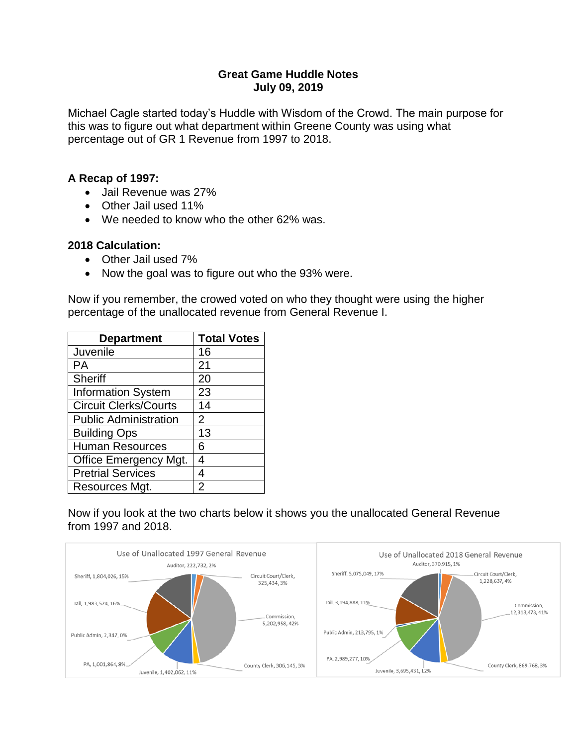## **Great Game Huddle Notes July 09, 2019**

Michael Cagle started today's Huddle with Wisdom of the Crowd. The main purpose for this was to figure out what department within Greene County was using what percentage out of GR 1 Revenue from 1997 to 2018.

## **A Recap of 1997:**

- Jail Revenue was 27%
- Other Jail used 11%
- We needed to know who the other 62% was.

## **2018 Calculation:**

- Other Jail used 7%
- Now the goal was to figure out who the 93% were.

Now if you remember, the crowed voted on who they thought were using the higher percentage of the unallocated revenue from General Revenue I.

| <b>Department</b>            | <b>Total Votes</b> |
|------------------------------|--------------------|
| Juvenile                     | 16                 |
| PА                           | 21                 |
| Sheriff                      | 20                 |
| <b>Information System</b>    | 23                 |
| <b>Circuit Clerks/Courts</b> | 14                 |
| <b>Public Administration</b> | $\overline{2}$     |
| <b>Building Ops</b>          | 13                 |
| <b>Human Resources</b>       | 6                  |
| <b>Office Emergency Mgt.</b> | 4                  |
| <b>Pretrial Services</b>     | 4                  |
| Resources Mgt.               | 2                  |

Now if you look at the two charts below it shows you the unallocated General Revenue from 1997 and 2018.